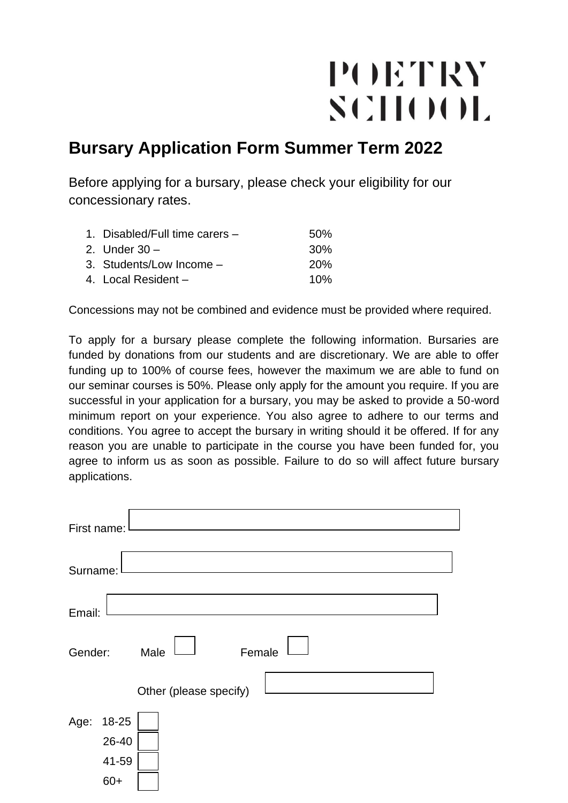## POETRY SCHOOL

## **Bursary Application Form Summer Term 2022**

Before applying for a bursary, please check your eligibility for our concessionary rates.

| 1. Disabled/Full time carers – | .50% |
|--------------------------------|------|
| 2. Under $30 -$                | .30% |
| 3. Students/Low Income -       | 20%  |
| 4. Local Resident $-$          | 10%  |

Concessions may not be combined and evidence must be provided where required.

To apply for a bursary please complete the following information. Bursaries are funded by donations from our students and are discretionary. We are able to offer funding up to 100% of course fees, however the maximum we are able to fund on our seminar courses is 50%. Please only apply for the amount you require. If you are successful in your application for a bursary, you may be asked to provide a 50-word minimum report on your experience. You also agree to adhere to our terms and conditions. You agree to accept the bursary in writing should it be offered. If for any reason you are unable to participate in the course you have been funded for, you agree to inform us as soon as possible. Failure to do so will affect future bursary applications.

| First name: |       |                        |  |
|-------------|-------|------------------------|--|
|             |       |                        |  |
| Surname:    |       |                        |  |
| Email:      |       |                        |  |
|             |       |                        |  |
| Gender:     |       | Female<br>Male         |  |
|             |       | Other (please specify) |  |
| Age:        | 18-25 |                        |  |
|             | 26-40 |                        |  |
|             | 41-59 |                        |  |
|             | $60+$ |                        |  |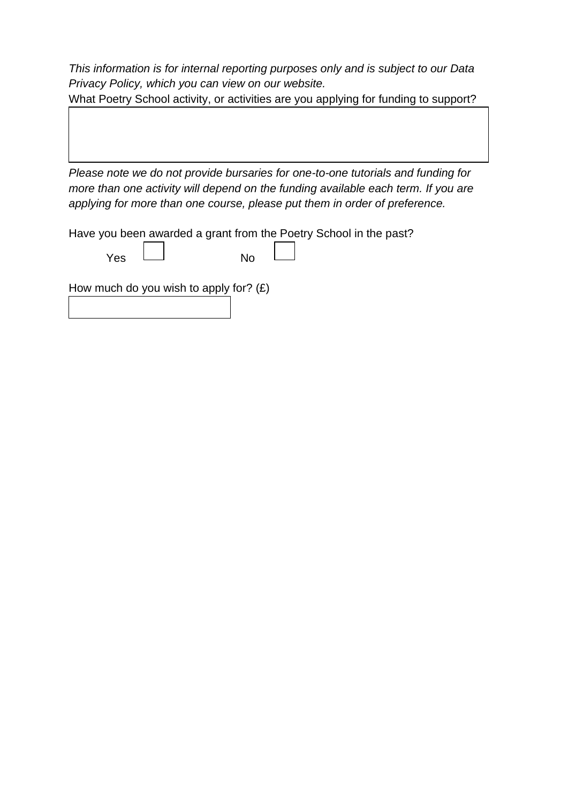*This information is for internal reporting purposes only and is subject to our Data Privacy Policy, which you can view on our website.*

What Poetry School activity, or activities are you applying for funding to support?

*Please note we do not provide bursaries for one-to-one tutorials and funding for more than one activity will depend on the funding available each term. If you are applying for more than one course, please put them in order of preference.*

Have you been awarded a grant from the Poetry School in the past?

| Yes | No |
|-----|----|

How much do you wish to apply for?  $(E)$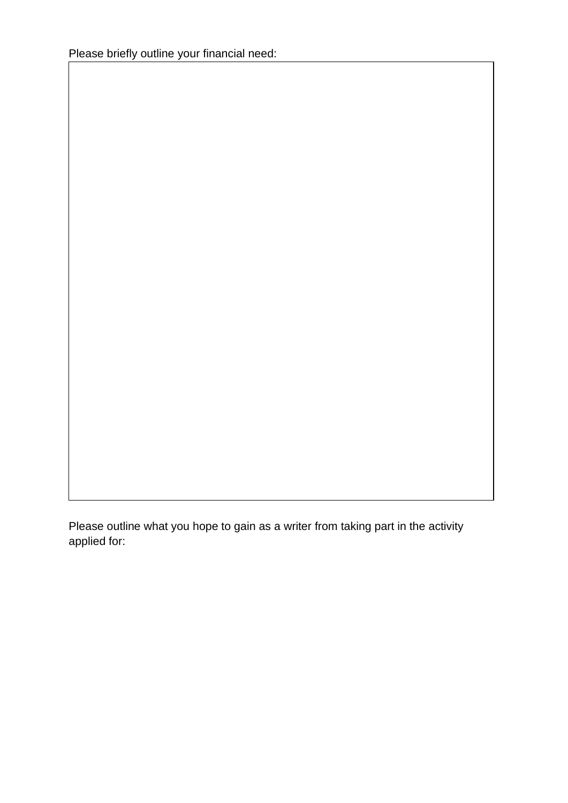Please outline what you hope to gain as a writer from taking part in the activity applied for: